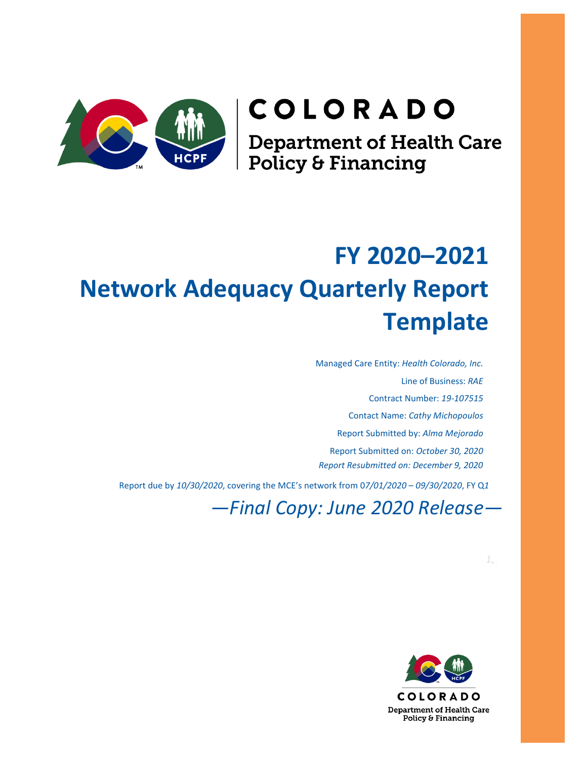# **COLORADO**

**Department of Health Care<br>Policy & Financing** 

## **FY 2020–2021 Network Adequacy Quarterly Report Template**

Managed Care Entity: *Health Colorado, Inc.* Line of Business: *RAE* Contract Number: *19-107515* Contact Name: *Cathy Michopoulos* Report Submitted by: *Alma Mejorado* Report Submitted on: *October 30, 2020 Report Resubmitted on: December 9, 2020*

Report due by *10/30/2020*, covering the MCE's network from 0*7/01/2020* – *09/30/2020*, FY Q*1*

*—Final Copy: June 2020 Release—*

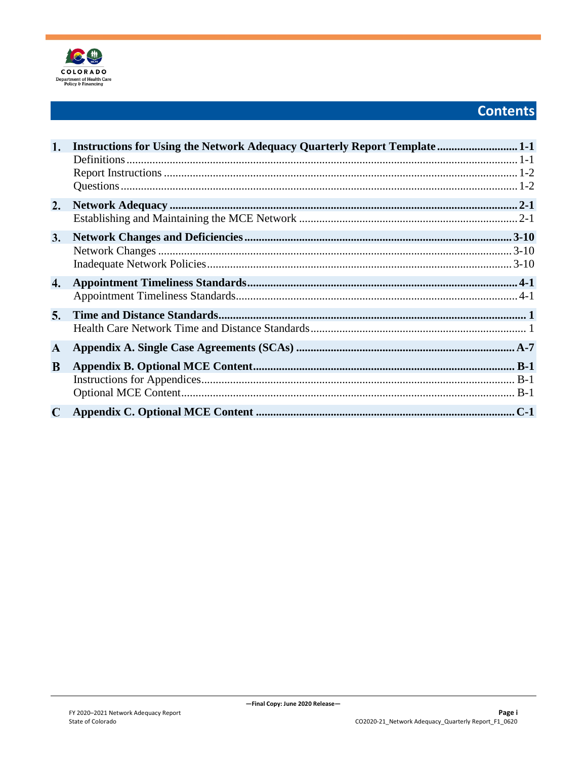

### **Contents**

| 1.          | <b>Instructions for Using the Network Adequacy Quarterly Report Template </b> 1-1 |
|-------------|-----------------------------------------------------------------------------------|
|             |                                                                                   |
|             |                                                                                   |
|             |                                                                                   |
| 2.          |                                                                                   |
|             |                                                                                   |
| 3.          |                                                                                   |
|             |                                                                                   |
|             |                                                                                   |
| 4.          |                                                                                   |
|             |                                                                                   |
| 5.          |                                                                                   |
|             |                                                                                   |
| ${\bf A}$   |                                                                                   |
| B           |                                                                                   |
|             |                                                                                   |
|             |                                                                                   |
| $\mathbf C$ |                                                                                   |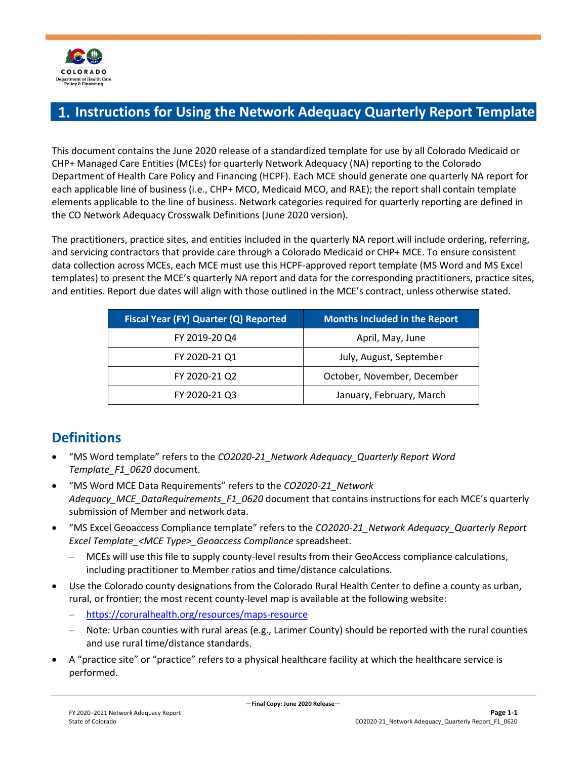

### <span id="page-2-0"></span>**Instructions for Using the Network Adequacy Quarterly Report Template**

This document contains the June 2020 release of a standardized template for use by all Colorado Medicaid or CHP+ Managed Care Entities (MCEs) for quarterly Network Adequacy (NA) reporting to the Colorado Department of Health Care Policy and Financing (HCPF). Each MCE should generate one quarterly NA report for each applicable line of business (i.e., CHP+ MCO, Medicaid MCO, and RAE); the report shall contain template elements applicable to the line of business. Network categories required for quarterly reporting are defined in the CO Network Adequacy Crosswalk Definitions (June 2020 version).

The practitioners, practice sites, and entities included in the quarterly NA report will include ordering, referring, and servicing contractors that provide care through a Colorado Medicaid or CHP+ MCE. To ensure consistent data collection across MCEs, each MCE must use this HCPF-approved report template (MS Word and MS Excel templates) to present the MCE's quarterly NA report and data for the corresponding practitioners, practice sites, and entities. Report due dates will align with those outlined in the MCE's contract, unless otherwise stated.

| Fiscal Year (FY) Quarter (Q) Reported | <b>Months Included in the Report</b> |
|---------------------------------------|--------------------------------------|
| FY 2019-20 Q4                         | April, May, June                     |
| FY 2020-21 Q1                         | July, August, September              |
| FY 2020-21 Q2                         | October, November, December          |
| FY 2020-21 Q3                         | January, February, March             |

### <span id="page-2-1"></span>**Definitions**

- "MS Word template" refers to the *CO2020-21\_Network Adequacy\_Quarterly Report Word Template\_F1\_0620* document.
- "MS Word MCE Data Requirements" refers to the *CO2020-21\_Network Adequacy\_MCE\_DataRequirements\_F1\_0620* document that contains instructions for each MCE's quarterly submission of Member and network data.
- "MS Excel Geoaccess Compliance template" refers to the *CO2020-21\_Network Adequacy\_Quarterly Report Excel Template\_<MCE Type>\_Geoaccess Compliance* spreadsheet.
	- MCEs will use this file to supply county-level results from their GeoAccess compliance calculations, including practitioner to Member ratios and time/distance calculations.
- Use the Colorado county designations from the Colorado Rural Health Center to define a county as urban, rural, or frontier; the most recent county-level map is available at the following website:
	- <https://coruralhealth.org/resources/maps-resource>
	- Note: Urban counties with rural areas (e.g., Larimer County) should be reported with the rural counties and use rural time/distance standards.
- A "practice site" or "practice" refers to a physical healthcare facility at which the healthcare service is performed.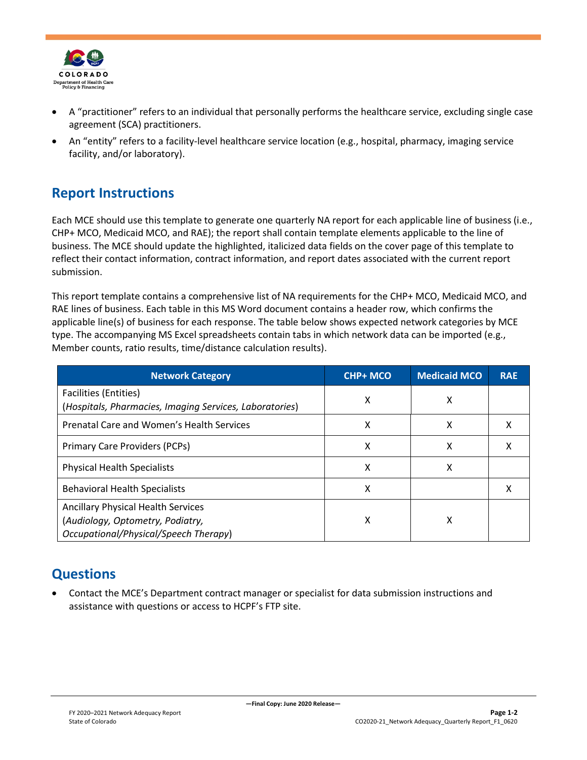

- A "practitioner" refers to an individual that personally performs the healthcare service, excluding single case agreement (SCA) practitioners.
- An "entity" refers to a facility-level healthcare service location (e.g., hospital, pharmacy, imaging service facility, and/or laboratory).

### <span id="page-3-0"></span>**Report Instructions**

Each MCE should use this template to generate one quarterly NA report for each applicable line of business (i.e., CHP+ MCO, Medicaid MCO, and RAE); the report shall contain template elements applicable to the line of business. The MCE should update the highlighted, italicized data fields on the cover page of this template to reflect their contact information, contract information, and report dates associated with the current report submission.

This report template contains a comprehensive list of NA requirements for the CHP+ MCO, Medicaid MCO, and RAE lines of business. Each table in this MS Word document contains a header row, which confirms the applicable line(s) of business for each response. The table below shows expected network categories by MCE type. The accompanying MS Excel spreadsheets contain tabs in which network data can be imported (e.g., Member counts, ratio results, time/distance calculation results).

| <b>Network Category</b>                                                                 | <b>CHP+ MCO</b> | <b>Medicaid MCO</b> | <b>RAE</b> |
|-----------------------------------------------------------------------------------------|-----------------|---------------------|------------|
| <b>Facilities (Entities)</b><br>(Hospitals, Pharmacies, Imaging Services, Laboratories) | x               | X                   |            |
| Prenatal Care and Women's Health Services                                               | х               | X                   | x          |
| Primary Care Providers (PCPs)                                                           | X               | X                   | х          |
| <b>Physical Health Specialists</b>                                                      | x               | Χ                   |            |
| <b>Behavioral Health Specialists</b>                                                    | x               |                     | х          |
| <b>Ancillary Physical Health Services</b>                                               |                 |                     |            |
| (Audiology, Optometry, Podiatry,<br>Occupational/Physical/Speech Therapy)               | х               | х                   |            |

### <span id="page-3-1"></span>**Questions**

• Contact the MCE's Department contract manager or specialist for data submission instructions and assistance with questions or access to HCPF's FTP site.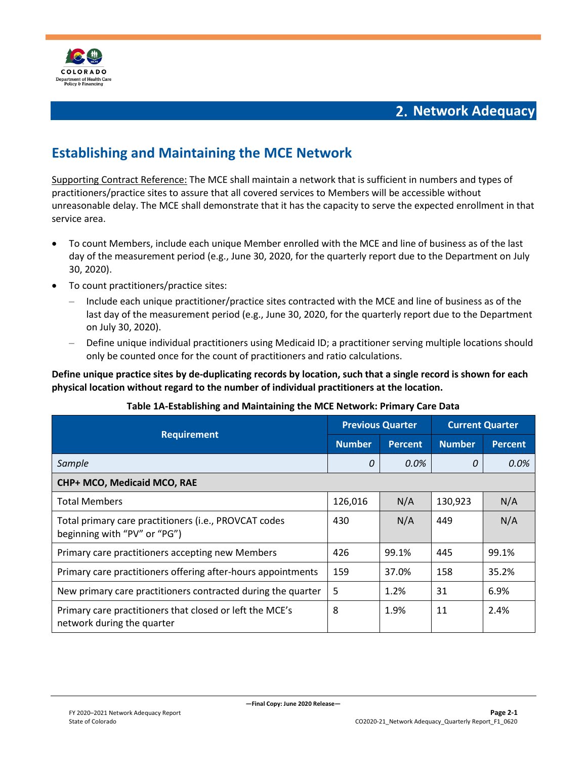

### **Network Adequacy**

### <span id="page-4-1"></span><span id="page-4-0"></span>**Establishing and Maintaining the MCE Network**

Supporting Contract Reference: The MCE shall maintain a network that is sufficient in numbers and types of practitioners/practice sites to assure that all covered services to Members will be accessible without unreasonable delay. The MCE shall demonstrate that it has the capacity to serve the expected enrollment in that service area.

- To count Members, include each unique Member enrolled with the MCE and line of business as of the last day of the measurement period (e.g., June 30, 2020, for the quarterly report due to the Department on July 30, 2020).
- To count practitioners/practice sites:
	- Include each unique practitioner/practice sites contracted with the MCE and line of business as of the last day of the measurement period (e.g., June 30, 2020, for the quarterly report due to the Department on July 30, 2020).
	- Define unique individual practitioners using Medicaid ID; a practitioner serving multiple locations should only be counted once for the count of practitioners and ratio calculations.

**Define unique practice sites by de-duplicating records by location, such that a single record is shown for each physical location without regard to the number of individual practitioners at the location.**

|                                                                                        |               | <b>Previous Quarter</b> |               | <b>Current Quarter</b> |  |
|----------------------------------------------------------------------------------------|---------------|-------------------------|---------------|------------------------|--|
| <b>Requirement</b>                                                                     | <b>Number</b> | <b>Percent</b>          | <b>Number</b> | <b>Percent</b>         |  |
| Sample                                                                                 | 0             | 0.0%                    | 0             | 0.0%                   |  |
| CHP+ MCO, Medicaid MCO, RAE                                                            |               |                         |               |                        |  |
| <b>Total Members</b>                                                                   | 126,016       | N/A                     | 130,923       | N/A                    |  |
| Total primary care practitioners (i.e., PROVCAT codes<br>beginning with "PV" or "PG")  | 430           | N/A                     | 449           | N/A                    |  |
| Primary care practitioners accepting new Members                                       | 426           | 99.1%                   | 445           | 99.1%                  |  |
| Primary care practitioners offering after-hours appointments                           | 159           | 37.0%                   | 158           | 35.2%                  |  |
| New primary care practitioners contracted during the quarter                           | 5             | 1.2%                    | 31            | 6.9%                   |  |
| Primary care practitioners that closed or left the MCE's<br>network during the quarter | 8             | 1.9%                    | 11            | 2.4%                   |  |

### **Table 1A-Establishing and Maintaining the MCE Network: Primary Care Data**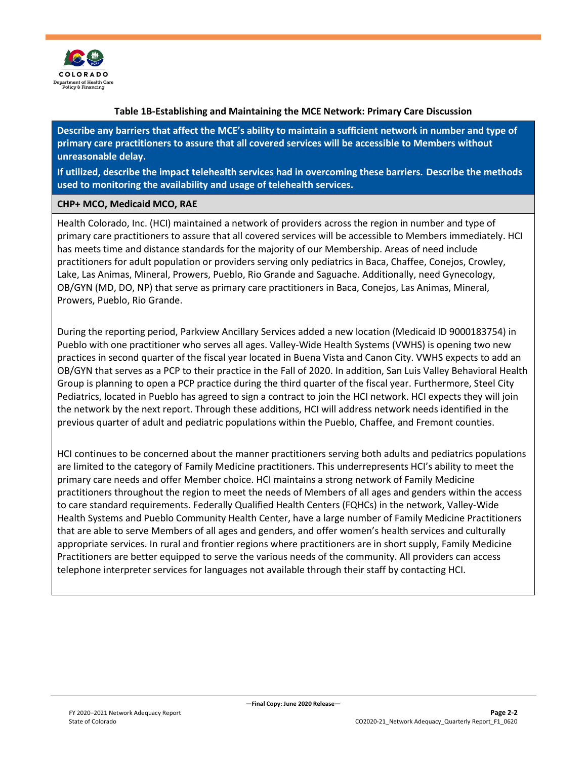

#### **Table 1B-Establishing and Maintaining the MCE Network: Primary Care Discussion**

**Describe any barriers that affect the MCE's ability to maintain a sufficient network in number and type of primary care practitioners to assure that all covered services will be accessible to Members without unreasonable delay.**

**If utilized, describe the impact telehealth services had in overcoming these barriers. Describe the methods used to monitoring the availability and usage of telehealth services.**

#### **CHP+ MCO, Medicaid MCO, RAE**

Health Colorado, Inc. (HCI) maintained a network of providers across the region in number and type of primary care practitioners to assure that all covered services will be accessible to Members immediately. HCI has meets time and distance standards for the majority of our Membership. Areas of need include practitioners for adult population or providers serving only pediatrics in Baca, Chaffee, Conejos, Crowley, Lake, Las Animas, Mineral, Prowers, Pueblo, Rio Grande and Saguache. Additionally, need Gynecology, OB/GYN (MD, DO, NP) that serve as primary care practitioners in Baca, Conejos, Las Animas, Mineral, Prowers, Pueblo, Rio Grande.

During the reporting period, Parkview Ancillary Services added a new location (Medicaid ID 9000183754) in Pueblo with one practitioner who serves all ages. Valley-Wide Health Systems (VWHS) is opening two new practices in second quarter of the fiscal year located in Buena Vista and Canon City. VWHS expects to add an OB/GYN that serves as a PCP to their practice in the Fall of 2020. In addition, San Luis Valley Behavioral Health Group is planning to open a PCP practice during the third quarter of the fiscal year. Furthermore, Steel City Pediatrics, located in Pueblo has agreed to sign a contract to join the HCI network. HCI expects they will join the network by the next report. Through these additions, HCI will address network needs identified in the previous quarter of adult and pediatric populations within the Pueblo, Chaffee, and Fremont counties.

HCI continues to be concerned about the manner practitioners serving both adults and pediatrics populations are limited to the category of Family Medicine practitioners. This underrepresents HCI's ability to meet the primary care needs and offer Member choice. HCI maintains a strong network of Family Medicine practitioners throughout the region to meet the needs of Members of all ages and genders within the access to care standard requirements. Federally Qualified Health Centers (FQHCs) in the network, Valley-Wide Health Systems and Pueblo Community Health Center, have a large number of Family Medicine Practitioners that are able to serve Members of all ages and genders, and offer women's health services and culturally appropriate services. In rural and frontier regions where practitioners are in short supply, Family Medicine Practitioners are better equipped to serve the various needs of the community. All providers can access telephone interpreter services for languages not available through their staff by contacting HCI.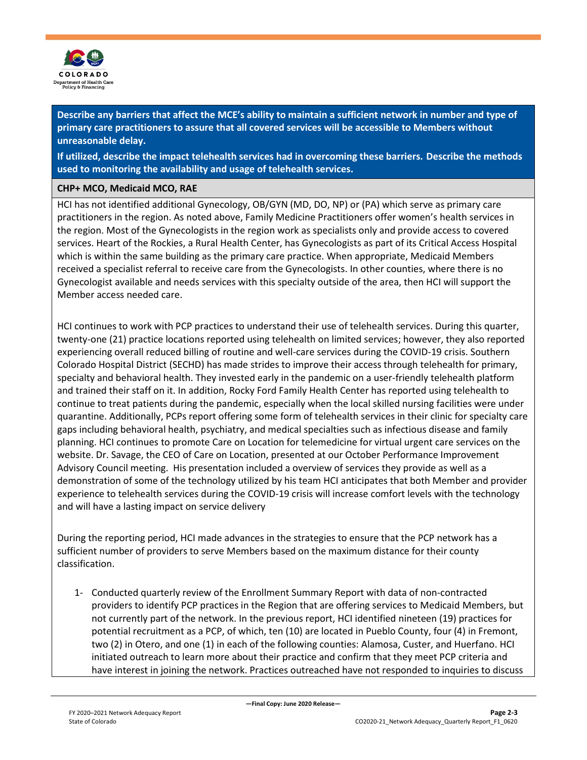

**Describe any barriers that affect the MCE's ability to maintain a sufficient network in number and type of primary care practitioners to assure that all covered services will be accessible to Members without unreasonable delay.**

**If utilized, describe the impact telehealth services had in overcoming these barriers. Describe the methods used to monitoring the availability and usage of telehealth services.**

### **CHP+ MCO, Medicaid MCO, RAE**

HCI has not identified additional Gynecology, OB/GYN (MD, DO, NP) or (PA) which serve as primary care practitioners in the region. As noted above, Family Medicine Practitioners offer women's health services in the region. Most of the Gynecologists in the region work as specialists only and provide access to covered services. Heart of the Rockies, a Rural Health Center, has Gynecologists as part of its Critical Access Hospital which is within the same building as the primary care practice. When appropriate, Medicaid Members received a specialist referral to receive care from the Gynecologists. In other counties, where there is no Gynecologist available and needs services with this specialty outside of the area, then HCI will support the Member access needed care.

HCI continues to work with PCP practices to understand their use of telehealth services. During this quarter, twenty-one (21) practice locations reported using telehealth on limited services; however, they also reported experiencing overall reduced billing of routine and well-care services during the COVID-19 crisis. Southern Colorado Hospital District (SECHD) has made strides to improve their access through telehealth for primary, specialty and behavioral health. They invested early in the pandemic on a user-friendly telehealth platform and trained their staff on it. In addition, Rocky Ford Family Health Center has reported using telehealth to continue to treat patients during the pandemic, especially when the local skilled nursing facilities were under quarantine. Additionally, PCPs report offering some form of telehealth services in their clinic for specialty care gaps including behavioral health, psychiatry, and medical specialties such as infectious disease and family planning. HCI continues to promote Care on Location for telemedicine for virtual urgent care services on the website. Dr. Savage, the CEO of Care on Location, presented at our October Performance Improvement Advisory Council meeting. His presentation included a overview of services they provide as well as a demonstration of some of the technology utilized by his team HCI anticipates that both Member and provider experience to telehealth services during the COVID-19 crisis will increase comfort levels with the technology and will have a lasting impact on service delivery

During the reporting period, HCI made advances in the strategies to ensure that the PCP network has a sufficient number of providers to serve Members based on the maximum distance for their county classification.

1- Conducted quarterly review of the Enrollment Summary Report with data of non-contracted providers to identify PCP practices in the Region that are offering services to Medicaid Members, but not currently part of the network. In the previous report, HCI identified nineteen (19) practices for potential recruitment as a PCP, of which, ten (10) are located in Pueblo County, four (4) in Fremont, two (2) in Otero, and one (1) in each of the following counties: Alamosa, Custer, and Huerfano. HCI initiated outreach to learn more about their practice and confirm that they meet PCP criteria and have interest in joining the network. Practices outreached have not responded to inquiries to discuss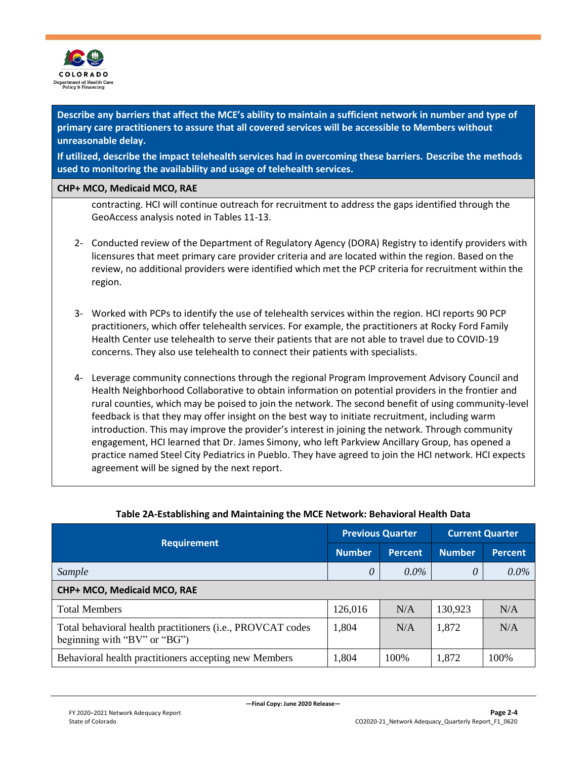

**Describe any barriers that affect the MCE's ability to maintain a sufficient network in number and type of primary care practitioners to assure that all covered services will be accessible to Members without unreasonable delay.**

**If utilized, describe the impact telehealth services had in overcoming these barriers. Describe the methods used to monitoring the availability and usage of telehealth services.**

#### **CHP+ MCO, Medicaid MCO, RAE**

contracting. HCI will continue outreach for recruitment to address the gaps identified through the GeoAccess analysis noted in Tables 11-13.

- 2- Conducted review of the Department of Regulatory Agency (DORA) Registry to identify providers with licensures that meet primary care provider criteria and are located within the region. Based on the review, no additional providers were identified which met the PCP criteria for recruitment within the region.
- 3- Worked with PCPs to identify the use of telehealth services within the region. HCI reports 90 PCP practitioners, which offer telehealth services. For example, the practitioners at Rocky Ford Family Health Center use telehealth to serve their patients that are not able to travel due to COVID-19 concerns. They also use telehealth to connect their patients with specialists.
- 4- Leverage community connections through the regional Program Improvement Advisory Council and Health Neighborhood Collaborative to obtain information on potential providers in the frontier and rural counties, which may be poised to join the network. The second benefit of using community-level feedback is that they may offer insight on the best way to initiate recruitment, including warm introduction. This may improve the provider's interest in joining the network. Through community engagement, HCI learned that Dr. James Simony, who left Parkview Ancillary Group, has opened a practice named Steel City Pediatrics in Pueblo. They have agreed to join the HCI network. HCI expects agreement will be signed by the next report.

|                                                                                            | <b>Previous Quarter</b> |                | <b>Current Quarter</b> |                |
|--------------------------------------------------------------------------------------------|-------------------------|----------------|------------------------|----------------|
| <b>Requirement</b>                                                                         |                         | <b>Percent</b> | <b>Number</b>          | <b>Percent</b> |
| Sample                                                                                     | 0                       | $0.0\%$        | 0                      | $0.0\%$        |
| CHP+ MCO, Medicaid MCO, RAE                                                                |                         |                |                        |                |
| <b>Total Members</b>                                                                       | 126,016                 | N/A            | 130,923                | N/A            |
| Total behavioral health practitioners (i.e., PROVCAT codes<br>beginning with "BV" or "BG") | 1,804                   | N/A            | 1,872                  | N/A            |
| Behavioral health practitioners accepting new Members                                      | 1,804                   | 100%           | 1,872                  | 100%           |

### **Table 2A-Establishing and Maintaining the MCE Network: Behavioral Health Data**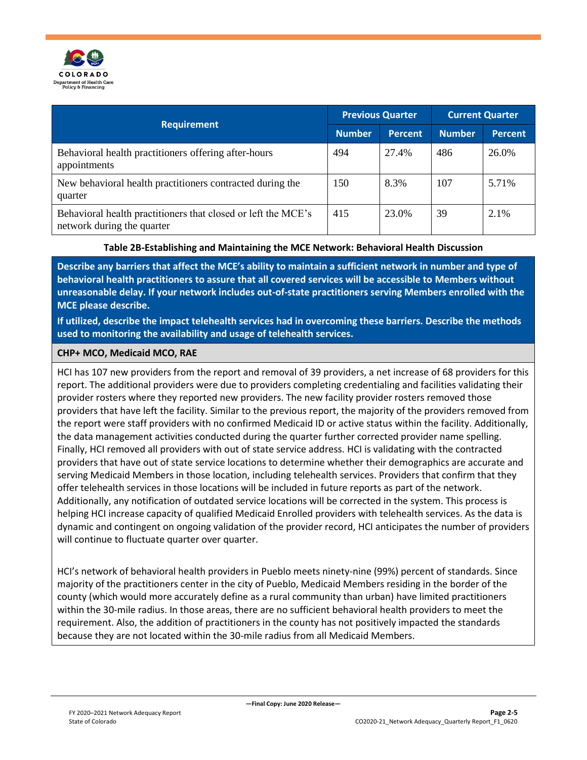

| <b>Requirement</b>                                                                          |     | <b>Previous Quarter</b> |               | <b>Current Quarter</b> |  |
|---------------------------------------------------------------------------------------------|-----|-------------------------|---------------|------------------------|--|
|                                                                                             |     | <b>Percent</b>          | <b>Number</b> | <b>Percent</b>         |  |
| Behavioral health practitioners offering after-hours<br>appointments                        | 494 | 27.4%                   | 486           | 26.0%                  |  |
| New behavioral health practitioners contracted during the<br>quarter                        | 150 | 8.3%                    | 107           | 5.71%                  |  |
| Behavioral health practitioners that closed or left the MCE's<br>network during the quarter | 415 | 23.0%                   | 39            | 2.1%                   |  |

### **Table 2B-Establishing and Maintaining the MCE Network: Behavioral Health Discussion**

**Describe any barriers that affect the MCE's ability to maintain a sufficient network in number and type of behavioral health practitioners to assure that all covered services will be accessible to Members without unreasonable delay. If your network includes out-of-state practitioners serving Members enrolled with the MCE please describe.**

**If utilized, describe the impact telehealth services had in overcoming these barriers. Describe the methods used to monitoring the availability and usage of telehealth services.**

#### **CHP+ MCO, Medicaid MCO, RAE**

HCI has 107 new providers from the report and removal of 39 providers, a net increase of 68 providers for this report. The additional providers were due to providers completing credentialing and facilities validating their provider rosters where they reported new providers. The new facility provider rosters removed those providers that have left the facility. Similar to the previous report, the majority of the providers removed from the report were staff providers with no confirmed Medicaid ID or active status within the facility. Additionally, the data management activities conducted during the quarter further corrected provider name spelling. Finally, HCI removed all providers with out of state service address. HCI is validating with the contracted providers that have out of state service locations to determine whether their demographics are accurate and serving Medicaid Members in those location, including telehealth services. Providers that confirm that they offer telehealth services in those locations will be included in future reports as part of the network. Additionally, any notification of outdated service locations will be corrected in the system. This process is helping HCI increase capacity of qualified Medicaid Enrolled providers with telehealth services. As the data is dynamic and contingent on ongoing validation of the provider record, HCI anticipates the number of providers will continue to fluctuate quarter over quarter.

HCI's network of behavioral health providers in Pueblo meets ninety-nine (99%) percent of standards. Since majority of the practitioners center in the city of Pueblo, Medicaid Members residing in the border of the county (which would more accurately define as a rural community than urban) have limited practitioners within the 30-mile radius. In those areas, there are no sufficient behavioral health providers to meet the requirement. Also, the addition of practitioners in the county has not positively impacted the standards because they are not located within the 30-mile radius from all Medicaid Members.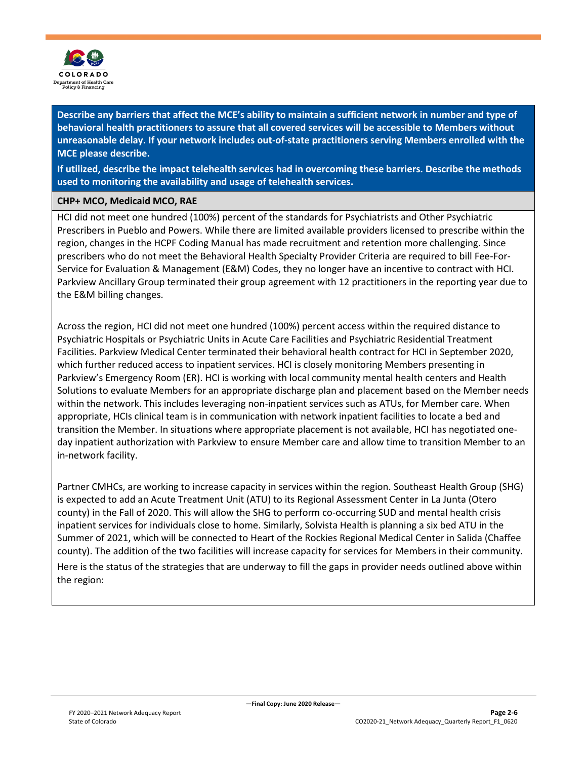

**If utilized, describe the impact telehealth services had in overcoming these barriers. Describe the methods used to monitoring the availability and usage of telehealth services.**

### **CHP+ MCO, Medicaid MCO, RAE**

HCI did not meet one hundred (100%) percent of the standards for Psychiatrists and Other Psychiatric Prescribers in Pueblo and Powers. While there are limited available providers licensed to prescribe within the region, changes in the HCPF Coding Manual has made recruitment and retention more challenging. Since prescribers who do not meet the Behavioral Health Specialty Provider Criteria are required to bill Fee-For-Service for Evaluation & Management (E&M) Codes, they no longer have an incentive to contract with HCI. Parkview Ancillary Group terminated their group agreement with 12 practitioners in the reporting year due to the E&M billing changes.

Across the region, HCI did not meet one hundred (100%) percent access within the required distance to Psychiatric Hospitals or Psychiatric Units in Acute Care Facilities and Psychiatric Residential Treatment Facilities. Parkview Medical Center terminated their behavioral health contract for HCI in September 2020, which further reduced access to inpatient services. HCI is closely monitoring Members presenting in Parkview's Emergency Room (ER). HCI is working with local community mental health centers and Health Solutions to evaluate Members for an appropriate discharge plan and placement based on the Member needs within the network. This includes leveraging non-inpatient services such as ATUs, for Member care. When appropriate, HCIs clinical team is in communication with network inpatient facilities to locate a bed and transition the Member. In situations where appropriate placement is not available, HCI has negotiated oneday inpatient authorization with Parkview to ensure Member care and allow time to transition Member to an in-network facility.

Partner CMHCs, are working to increase capacity in services within the region. Southeast Health Group (SHG) is expected to add an Acute Treatment Unit (ATU) to its Regional Assessment Center in La Junta (Otero county) in the Fall of 2020. This will allow the SHG to perform co-occurring SUD and mental health crisis inpatient services for individuals close to home. Similarly, Solvista Health is planning a six bed ATU in the Summer of 2021, which will be connected to Heart of the Rockies Regional Medical Center in Salida (Chaffee county). The addition of the two facilities will increase capacity for services for Members in their community.

Here is the status of the strategies that are underway to fill the gaps in provider needs outlined above within the region: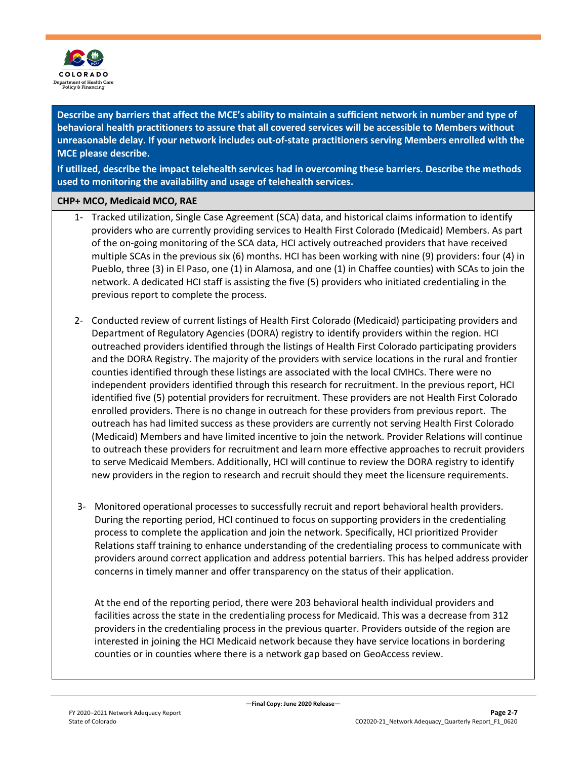

**If utilized, describe the impact telehealth services had in overcoming these barriers. Describe the methods used to monitoring the availability and usage of telehealth services.**

### **CHP+ MCO, Medicaid MCO, RAE**

- 1- Tracked utilization, Single Case Agreement (SCA) data, and historical claims information to identify providers who are currently providing services to Health First Colorado (Medicaid) Members. As part of the on-going monitoring of the SCA data, HCI actively outreached providers that have received multiple SCAs in the previous six (6) months. HCI has been working with nine (9) providers: four (4) in Pueblo, three (3) in El Paso, one (1) in Alamosa, and one (1) in Chaffee counties) with SCAs to join the network. A dedicated HCI staff is assisting the five (5) providers who initiated credentialing in the previous report to complete the process.
- 2- Conducted review of current listings of Health First Colorado (Medicaid) participating providers and Department of Regulatory Agencies (DORA) registry to identify providers within the region. HCI outreached providers identified through the listings of Health First Colorado participating providers and the DORA Registry. The majority of the providers with service locations in the rural and frontier counties identified through these listings are associated with the local CMHCs. There were no independent providers identified through this research for recruitment. In the previous report, HCI identified five (5) potential providers for recruitment. These providers are not Health First Colorado enrolled providers. There is no change in outreach for these providers from previous report. The outreach has had limited success as these providers are currently not serving Health First Colorado (Medicaid) Members and have limited incentive to join the network. Provider Relations will continue to outreach these providers for recruitment and learn more effective approaches to recruit providers to serve Medicaid Members. Additionally, HCI will continue to review the DORA registry to identify new providers in the region to research and recruit should they meet the licensure requirements.
- 3- Monitored operational processes to successfully recruit and report behavioral health providers. During the reporting period, HCI continued to focus on supporting providers in the credentialing process to complete the application and join the network. Specifically, HCI prioritized Provider Relations staff training to enhance understanding of the credentialing process to communicate with providers around correct application and address potential barriers. This has helped address provider concerns in timely manner and offer transparency on the status of their application.

At the end of the reporting period, there were 203 behavioral health individual providers and facilities across the state in the credentialing process for Medicaid. This was a decrease from 312 providers in the credentialing process in the previous quarter. Providers outside of the region are interested in joining the HCI Medicaid network because they have service locations in bordering counties or in counties where there is a network gap based on GeoAccess review.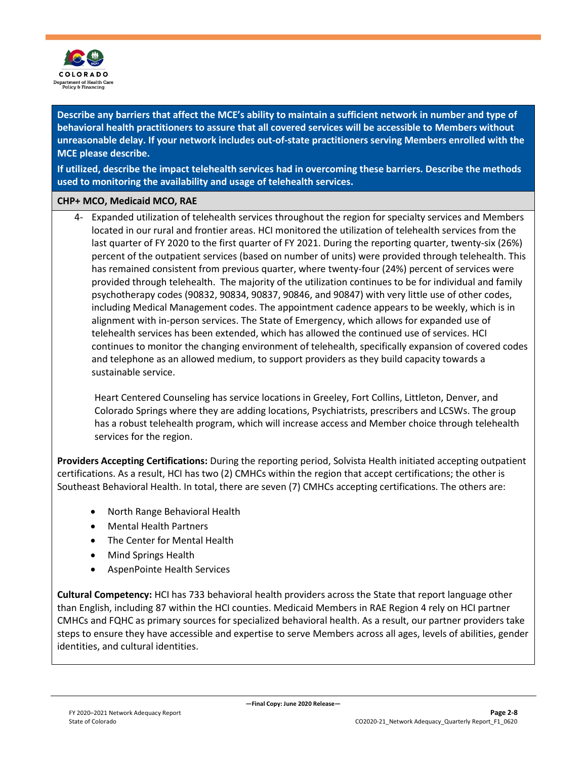

**If utilized, describe the impact telehealth services had in overcoming these barriers. Describe the methods used to monitoring the availability and usage of telehealth services.**

#### **CHP+ MCO, Medicaid MCO, RAE**

4- Expanded utilization of telehealth services throughout the region for specialty services and Members located in our rural and frontier areas. HCI monitored the utilization of telehealth services from the last quarter of FY 2020 to the first quarter of FY 2021. During the reporting quarter, twenty-six (26%) percent of the outpatient services (based on number of units) were provided through telehealth. This has remained consistent from previous quarter, where twenty-four (24%) percent of services were provided through telehealth. The majority of the utilization continues to be for individual and family psychotherapy codes (90832, 90834, 90837, 90846, and 90847) with very little use of other codes, including Medical Management codes. The appointment cadence appears to be weekly, which is in alignment with in-person services. The State of Emergency, which allows for expanded use of telehealth services has been extended, which has allowed the continued use of services. HCI continues to monitor the changing environment of telehealth, specifically expansion of covered codes and telephone as an allowed medium, to support providers as they build capacity towards a sustainable service.

Heart Centered Counseling has service locations in Greeley, Fort Collins, Littleton, Denver, and Colorado Springs where they are adding locations, Psychiatrists, prescribers and LCSWs. The group has a robust telehealth program, which will increase access and Member choice through telehealth services for the region.

**Providers Accepting Certifications:** During the reporting period, Solvista Health initiated accepting outpatient certifications. As a result, HCI has two (2) CMHCs within the region that accept certifications; the other is Southeast Behavioral Health. In total, there are seven (7) CMHCs accepting certifications. The others are:

- North Range Behavioral Health
- Mental Health Partners
- The Center for Mental Health
- Mind Springs Health
- AspenPointe Health Services

**Cultural Competency:** HCI has 733 behavioral health providers across the State that report language other than English, including 87 within the HCI counties. Medicaid Members in RAE Region 4 rely on HCI partner CMHCs and FQHC as primary sources for specialized behavioral health. As a result, our partner providers take steps to ensure they have accessible and expertise to serve Members across all ages, levels of abilities, gender identities, and cultural identities.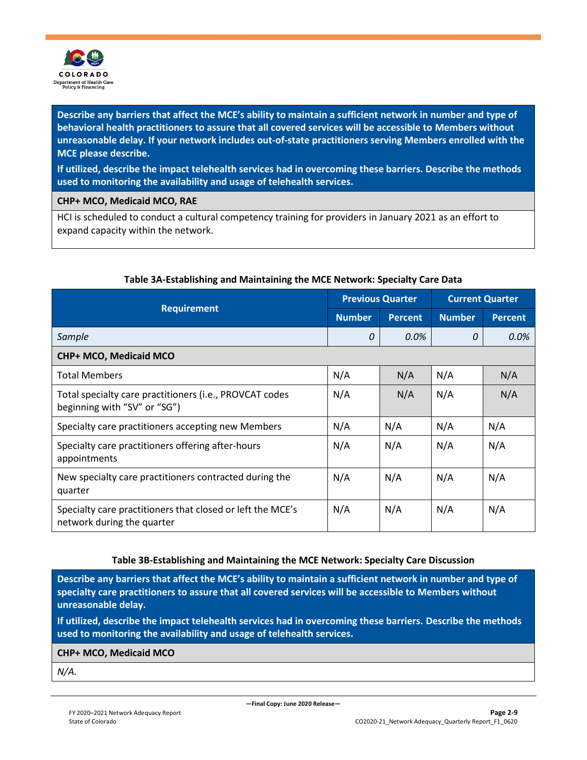

**If utilized, describe the impact telehealth services had in overcoming these barriers. Describe the methods used to monitoring the availability and usage of telehealth services.**

**CHP+ MCO, Medicaid MCO, RAE**

HCI is scheduled to conduct a cultural competency training for providers in January 2021 as an effort to expand capacity within the network.

|                                                                                          | <b>Previous Quarter</b> |                | <b>Current Quarter</b> |                |
|------------------------------------------------------------------------------------------|-------------------------|----------------|------------------------|----------------|
| <b>Requirement</b>                                                                       | <b>Number</b>           | <b>Percent</b> | <b>Number</b>          | <b>Percent</b> |
| Sample                                                                                   | 0                       | 0.0%           | 0                      | 0.0%           |
| CHP+ MCO, Medicaid MCO                                                                   |                         |                |                        |                |
| <b>Total Members</b>                                                                     | N/A                     | N/A            | N/A                    | N/A            |
| Total specialty care practitioners (i.e., PROVCAT codes<br>beginning with "SV" or "SG")  | N/A                     | N/A            | N/A                    | N/A            |
| Specialty care practitioners accepting new Members                                       | N/A                     | N/A            | N/A                    | N/A            |
| Specialty care practitioners offering after-hours<br>appointments                        | N/A                     | N/A            | N/A                    | N/A            |
| New specialty care practitioners contracted during the<br>quarter                        | N/A                     | N/A            | N/A                    | N/A            |
| Specialty care practitioners that closed or left the MCE's<br>network during the quarter | N/A                     | N/A            | N/A                    | N/A            |

### **Table 3A-Establishing and Maintaining the MCE Network: Specialty Care Data**

### **Table 3B-Establishing and Maintaining the MCE Network: Specialty Care Discussion**

**Describe any barriers that affect the MCE's ability to maintain a sufficient network in number and type of specialty care practitioners to assure that all covered services will be accessible to Members without unreasonable delay.**

**If utilized, describe the impact telehealth services had in overcoming these barriers. Describe the methods used to monitoring the availability and usage of telehealth services.** 

#### **CHP+ MCO, Medicaid MCO**

*N/A.*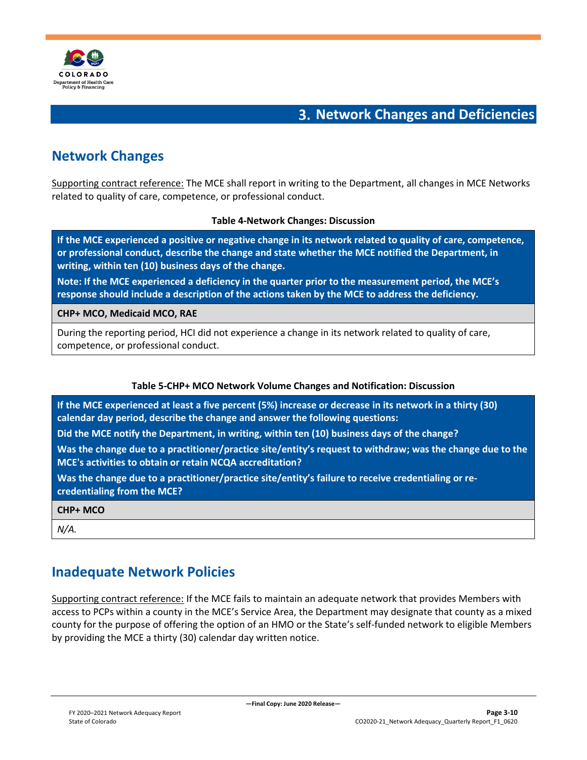

### **Network Changes and Deficiencies**

### <span id="page-13-1"></span><span id="page-13-0"></span>**Network Changes**

Supporting contract reference: The MCE shall report in writing to the Department, all changes in MCE Networks related to quality of care, competence, or professional conduct.

#### **Table 4-Network Changes: Discussion**

**If the MCE experienced a positive or negative change in its network related to quality of care, competence, or professional conduct, describe the change and state whether the MCE notified the Department, in writing, within ten (10) business days of the change.**

**Note: If the MCE experienced a deficiency in the quarter prior to the measurement period, the MCE's response should include a description of the actions taken by the MCE to address the deficiency.** 

**CHP+ MCO, Medicaid MCO, RAE**

During the reporting period, HCI did not experience a change in its network related to quality of care, competence, or professional conduct.

### **Table 5-CHP+ MCO Network Volume Changes and Notification: Discussion**

**If the MCE experienced at least a five percent (5%) increase or decrease in its network in a thirty (30) calendar day period, describe the change and answer the following questions:**

**Did the MCE notify the Department, in writing, within ten (10) business days of the change?**

**Was the change due to a practitioner/practice site/entity's request to withdraw; was the change due to the MCE's activities to obtain or retain NCQA accreditation?**

**Was the change due to a practitioner/practice site/entity's failure to receive credentialing or recredentialing from the MCE?**

**CHP+ MCO**

<span id="page-13-2"></span>*N/A.*

### **Inadequate Network Policies**

Supporting contract reference: If the MCE fails to maintain an adequate network that provides Members with access to PCPs within a county in the MCE's Service Area, the Department may designate that county as a mixed county for the purpose of offering the option of an HMO or the State's self-funded network to eligible Members by providing the MCE a thirty (30) calendar day written notice.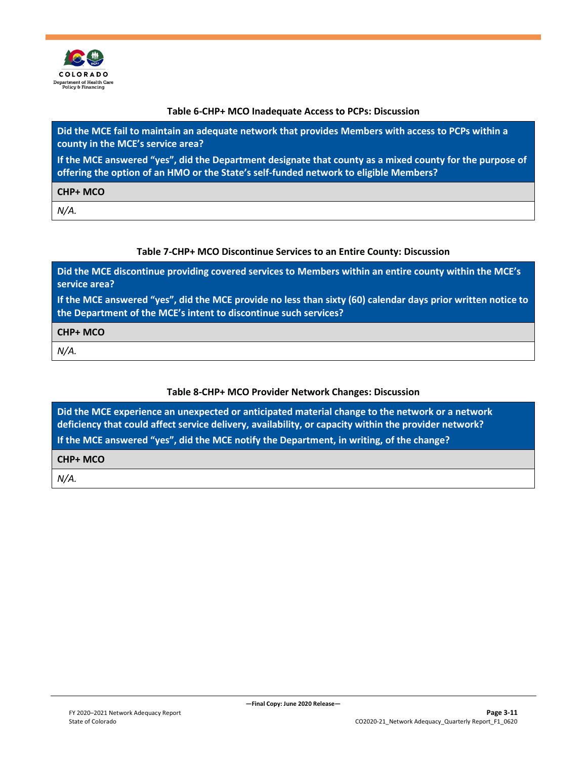

#### **Table 6-CHP+ MCO Inadequate Access to PCPs: Discussion**

**Did the MCE fail to maintain an adequate network that provides Members with access to PCPs within a county in the MCE's service area?**

**If the MCE answered "yes", did the Department designate that county as a mixed county for the purpose of offering the option of an HMO or the State's self-funded network to eligible Members?**

**CHP+ MCO**

*N/A.*

#### **Table 7-CHP+ MCO Discontinue Services to an Entire County: Discussion**

**Did the MCE discontinue providing covered services to Members within an entire county within the MCE's service area?**

**If the MCE answered "yes", did the MCE provide no less than sixty (60) calendar days prior written notice to the Department of the MCE's intent to discontinue such services?**

**CHP+ MCO**

*N/A.*

### **Table 8-CHP+ MCO Provider Network Changes: Discussion**

**Did the MCE experience an unexpected or anticipated material change to the network or a network deficiency that could affect service delivery, availability, or capacity within the provider network? If the MCE answered "yes", did the MCE notify the Department, in writing, of the change?**

#### **CHP+ MCO**

*N/A.*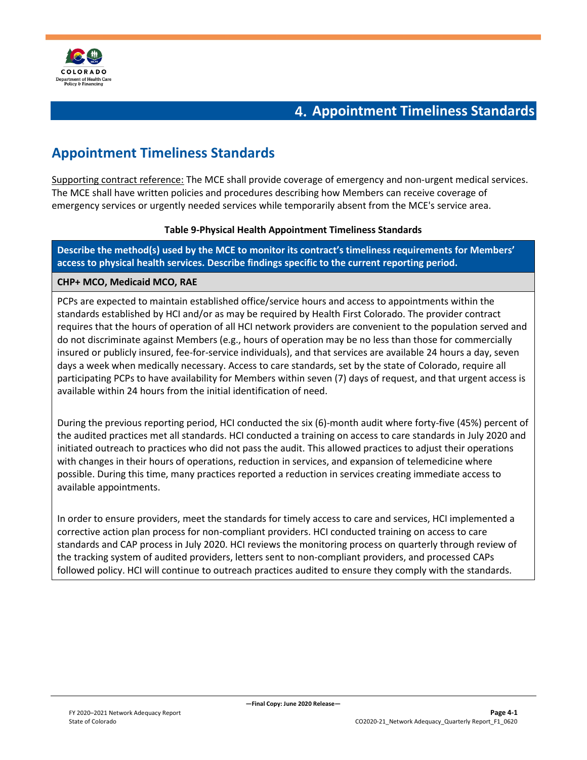

### **Appointment Timeliness Standards**

### <span id="page-15-1"></span><span id="page-15-0"></span>**Appointment Timeliness Standards**

Supporting contract reference: The MCE shall provide coverage of emergency and non-urgent medical services. The MCE shall have written policies and procedures describing how Members can receive coverage of emergency services or urgently needed services while temporarily absent from the MCE's service area.

### **Table 9-Physical Health Appointment Timeliness Standards**

**Describe the method(s) used by the MCE to monitor its contract's timeliness requirements for Members' access to physical health services. Describe findings specific to the current reporting period.** 

### **CHP+ MCO, Medicaid MCO, RAE**

PCPs are expected to maintain established office/service hours and access to appointments within the standards established by HCI and/or as may be required by Health First Colorado. The provider contract requires that the hours of operation of all HCI network providers are convenient to the population served and do not discriminate against Members (e.g., hours of operation may be no less than those for commercially insured or publicly insured, fee-for-service individuals), and that services are available 24 hours a day, seven days a week when medically necessary. Access to care standards, set by the state of Colorado, require all participating PCPs to have availability for Members within seven (7) days of request, and that urgent access is available within 24 hours from the initial identification of need.

During the previous reporting period, HCI conducted the six (6)-month audit where forty-five (45%) percent of the audited practices met all standards. HCI conducted a training on access to care standards in July 2020 and initiated outreach to practices who did not pass the audit. This allowed practices to adjust their operations with changes in their hours of operations, reduction in services, and expansion of telemedicine where possible. During this time, many practices reported a reduction in services creating immediate access to available appointments.

In order to ensure providers, meet the standards for timely access to care and services, HCI implemented a corrective action plan process for non-compliant providers. HCI conducted training on access to care standards and CAP process in July 2020. HCI reviews the monitoring process on quarterly through review of the tracking system of audited providers, letters sent to non-compliant providers, and processed CAPs followed policy. HCI will continue to outreach practices audited to ensure they comply with the standards.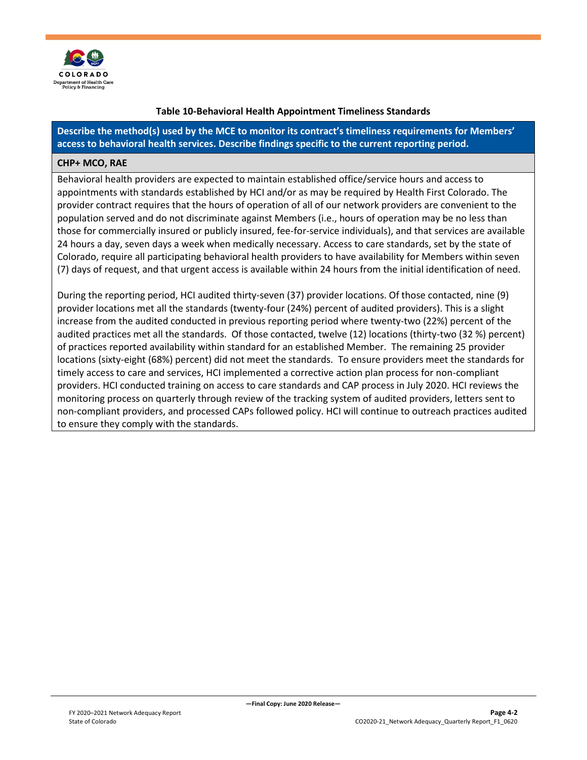

### **Table 10-Behavioral Health Appointment Timeliness Standards**

**Describe the method(s) used by the MCE to monitor its contract's timeliness requirements for Members' access to behavioral health services. Describe findings specific to the current reporting period.** 

#### **CHP+ MCO, RAE**

Behavioral health providers are expected to maintain established office/service hours and access to appointments with standards established by HCI and/or as may be required by Health First Colorado. The provider contract requires that the hours of operation of all of our network providers are convenient to the population served and do not discriminate against Members (i.e., hours of operation may be no less than those for commercially insured or publicly insured, fee-for-service individuals), and that services are available 24 hours a day, seven days a week when medically necessary. Access to care standards, set by the state of Colorado, require all participating behavioral health providers to have availability for Members within seven (7) days of request, and that urgent access is available within 24 hours from the initial identification of need.

During the reporting period, HCI audited thirty-seven (37) provider locations. Of those contacted, nine (9) provider locations met all the standards (twenty-four (24%) percent of audited providers). This is a slight increase from the audited conducted in previous reporting period where twenty-two (22%) percent of the audited practices met all the standards. Of those contacted, twelve (12) locations (thirty-two (32 %) percent) of practices reported availability within standard for an established Member. The remaining 25 provider locations (sixty-eight (68%) percent) did not meet the standards. To ensure providers meet the standards for timely access to care and services, HCI implemented a corrective action plan process for non-compliant providers. HCI conducted training on access to care standards and CAP process in July 2020. HCI reviews the monitoring process on quarterly through review of the tracking system of audited providers, letters sent to non-compliant providers, and processed CAPs followed policy. HCI will continue to outreach practices audited to ensure they comply with the standards.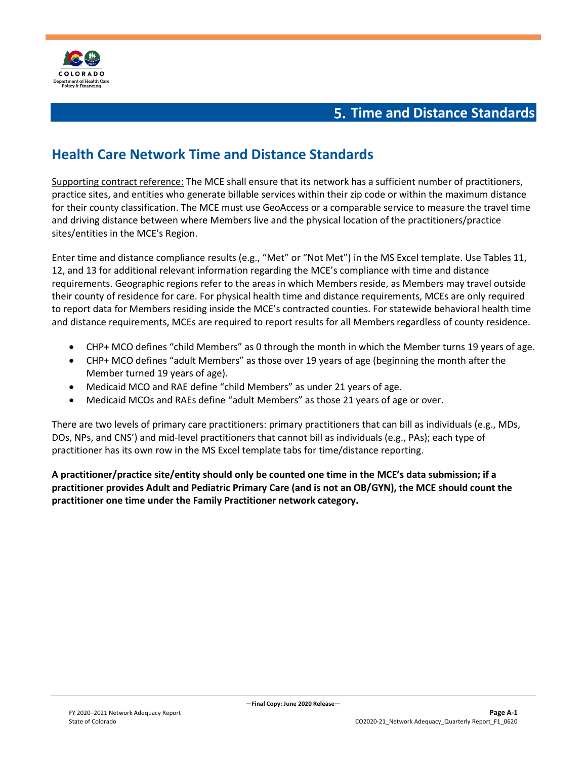

### **Time and Distance Standards**

### <span id="page-17-1"></span><span id="page-17-0"></span>**Health Care Network Time and Distance Standards**

Supporting contract reference: The MCE shall ensure that its network has a sufficient number of practitioners, practice sites, and entities who generate billable services within their zip code or within the maximum distance for their county classification. The MCE must use GeoAccess or a comparable service to measure the travel time and driving distance between where Members live and the physical location of the practitioners/practice sites/entities in the MCE's Region.

Enter time and distance compliance results (e.g., "Met" or "Not Met") in the MS Excel template. Use Tables 11, 12, and 13 for additional relevant information regarding the MCE's compliance with time and distance requirements. Geographic regions refer to the areas in which Members reside, as Members may travel outside their county of residence for care. For physical health time and distance requirements, MCEs are only required to report data for Members residing inside the MCE's contracted counties. For statewide behavioral health time and distance requirements, MCEs are required to report results for all Members regardless of county residence.

- CHP+ MCO defines "child Members" as 0 through the month in which the Member turns 19 years of age.
- CHP+ MCO defines "adult Members" as those over 19 years of age (beginning the month after the Member turned 19 years of age).
- Medicaid MCO and RAE define "child Members" as under 21 years of age.
- Medicaid MCOs and RAEs define "adult Members" as those 21 years of age or over.

There are two levels of primary care practitioners: primary practitioners that can bill as individuals (e.g., MDs, DOs, NPs, and CNS') and mid-level practitioners that cannot bill as individuals (e.g., PAs); each type of practitioner has its own row in the MS Excel template tabs for time/distance reporting.

**A practitioner/practice site/entity should only be counted one time in the MCE's data submission; if a practitioner provides Adult and Pediatric Primary Care (and is not an OB/GYN), the MCE should count the practitioner one time under the Family Practitioner network category.**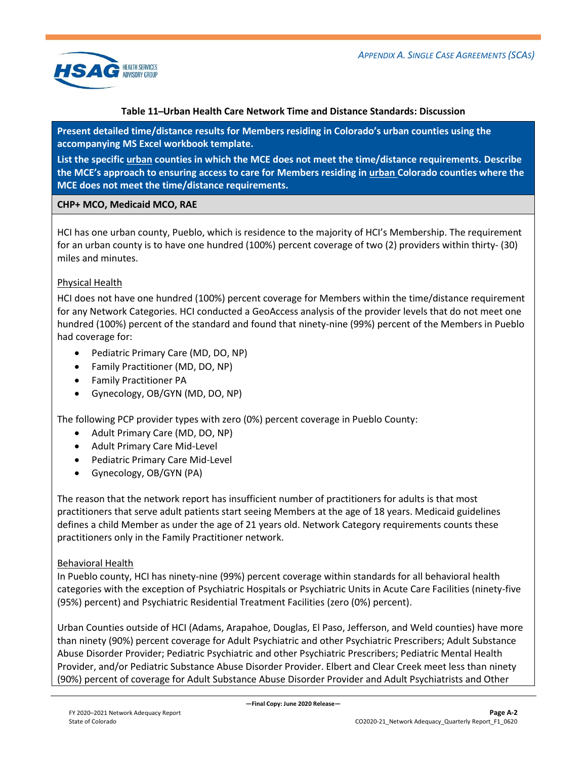

### **Table 11 ̶Urban Health Care Network Time and Distance Standards: Discussion**

**Present detailed time/distance results for Members residing in Colorado's urban counties using the accompanying MS Excel workbook template.**

**List the specific urban counties in which the MCE does not meet the time/distance requirements. Describe the MCE's approach to ensuring access to care for Members residing in urban Colorado counties where the MCE does not meet the time/distance requirements.**

### **CHP+ MCO, Medicaid MCO, RAE**

HCI has one urban county, Pueblo, which is residence to the majority of HCI's Membership. The requirement for an urban county is to have one hundred (100%) percent coverage of two (2) providers within thirty- (30) miles and minutes.

### Physical Health

HCI does not have one hundred (100%) percent coverage for Members within the time/distance requirement for any Network Categories. HCI conducted a GeoAccess analysis of the provider levels that do not meet one hundred (100%) percent of the standard and found that ninety-nine (99%) percent of the Members in Pueblo had coverage for:

- Pediatric Primary Care (MD, DO, NP)
- Family Practitioner (MD, DO, NP)
- Family Practitioner PA
- Gynecology, OB/GYN (MD, DO, NP)

The following PCP provider types with zero (0%) percent coverage in Pueblo County:

- Adult Primary Care (MD, DO, NP)
- Adult Primary Care Mid-Level
- Pediatric Primary Care Mid-Level
- Gynecology, OB/GYN (PA)

The reason that the network report has insufficient number of practitioners for adults is that most practitioners that serve adult patients start seeing Members at the age of 18 years. Medicaid guidelines defines a child Member as under the age of 21 years old. Network Category requirements counts these practitioners only in the Family Practitioner network.

### Behavioral Health

In Pueblo county, HCI has ninety-nine (99%) percent coverage within standards for all behavioral health categories with the exception of Psychiatric Hospitals or Psychiatric Units in Acute Care Facilities (ninety-five (95%) percent) and Psychiatric Residential Treatment Facilities (zero (0%) percent).

Urban Counties outside of HCI (Adams, Arapahoe, Douglas, El Paso, Jefferson, and Weld counties) have more than ninety (90%) percent coverage for Adult Psychiatric and other Psychiatric Prescribers; Adult Substance Abuse Disorder Provider; Pediatric Psychiatric and other Psychiatric Prescribers; Pediatric Mental Health Provider, and/or Pediatric Substance Abuse Disorder Provider. Elbert and Clear Creek meet less than ninety (90%) percent of coverage for Adult Substance Abuse Disorder Provider and Adult Psychiatrists and Other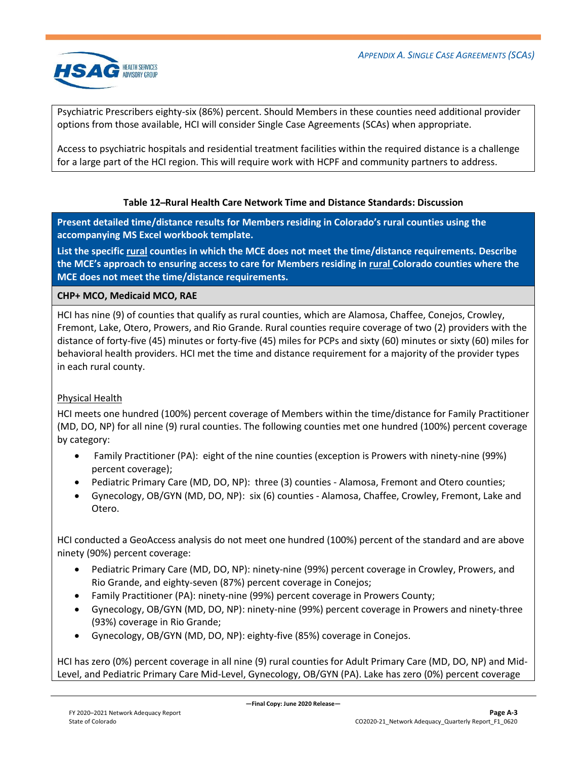

Psychiatric Prescribers eighty-six (86%) percent. Should Members in these counties need additional provider options from those available, HCI will consider Single Case Agreements (SCAs) when appropriate.

Access to psychiatric hospitals and residential treatment facilities within the required distance is a challenge for a large part of the HCI region. This will require work with HCPF and community partners to address.

### **Table 12 ̶Rural Health Care Network Time and Distance Standards: Discussion**

**Present detailed time/distance results for Members residing in Colorado's rural counties using the accompanying MS Excel workbook template.**

**List the specific rural counties in which the MCE does not meet the time/distance requirements. Describe the MCE's approach to ensuring access to care for Members residing in rural Colorado counties where the MCE does not meet the time/distance requirements.**

### **CHP+ MCO, Medicaid MCO, RAE**

HCI has nine (9) of counties that qualify as rural counties, which are Alamosa, Chaffee, Conejos, Crowley, Fremont, Lake, Otero, Prowers, and Rio Grande. Rural counties require coverage of two (2) providers with the distance of forty-five (45) minutes or forty-five (45) miles for PCPs and sixty (60) minutes or sixty (60) miles for behavioral health providers. HCI met the time and distance requirement for a majority of the provider types in each rural county.

### Physical Health

HCI meets one hundred (100%) percent coverage of Members within the time/distance for Family Practitioner (MD, DO, NP) for all nine (9) rural counties. The following counties met one hundred (100%) percent coverage by category:

- Family Practitioner (PA): eight of the nine counties (exception is Prowers with ninety-nine (99%) percent coverage);
- Pediatric Primary Care (MD, DO, NP): three (3) counties Alamosa, Fremont and Otero counties;
- Gynecology, OB/GYN (MD, DO, NP): six (6) counties Alamosa, Chaffee, Crowley, Fremont, Lake and Otero.

HCI conducted a GeoAccess analysis do not meet one hundred (100%) percent of the standard and are above ninety (90%) percent coverage:

- Pediatric Primary Care (MD, DO, NP): ninety-nine (99%) percent coverage in Crowley, Prowers, and Rio Grande, and eighty-seven (87%) percent coverage in Conejos;
- Family Practitioner (PA): ninety-nine (99%) percent coverage in Prowers County;
- Gynecology, OB/GYN (MD, DO, NP): ninety-nine (99%) percent coverage in Prowers and ninety-three (93%) coverage in Rio Grande;
- Gynecology, OB/GYN (MD, DO, NP): eighty-five (85%) coverage in Conejos.

HCI has zero (0%) percent coverage in all nine (9) rural counties for Adult Primary Care (MD, DO, NP) and Mid-Level, and Pediatric Primary Care Mid-Level, Gynecology, OB/GYN (PA). Lake has zero (0%) percent coverage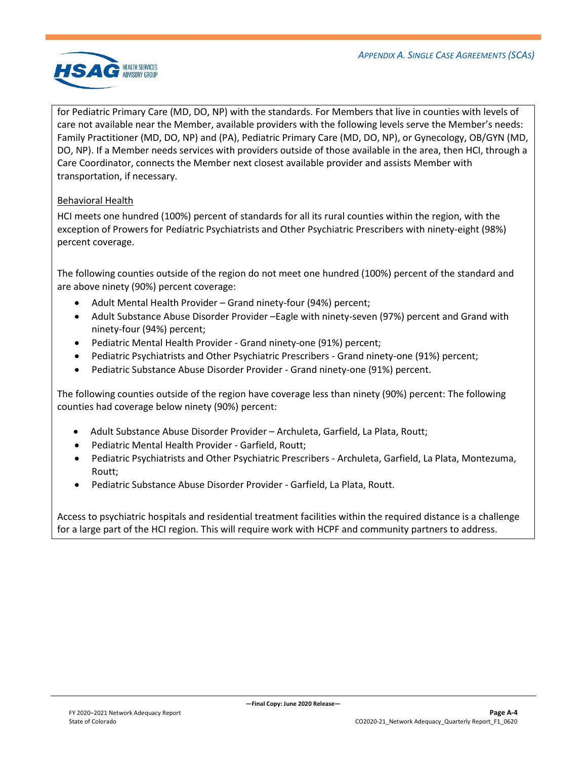

for Pediatric Primary Care (MD, DO, NP) with the standards. For Members that live in counties with levels of care not available near the Member, available providers with the following levels serve the Member's needs: Family Practitioner (MD, DO, NP) and (PA), Pediatric Primary Care (MD, DO, NP), or Gynecology, OB/GYN (MD, DO, NP). If a Member needs services with providers outside of those available in the area, then HCI, through a Care Coordinator, connects the Member next closest available provider and assists Member with transportation, if necessary.

### Behavioral Health

HCI meets one hundred (100%) percent of standards for all its rural counties within the region, with the exception of Prowers for Pediatric Psychiatrists and Other Psychiatric Prescribers with ninety-eight (98%) percent coverage.

The following counties outside of the region do not meet one hundred (100%) percent of the standard and are above ninety (90%) percent coverage:

- Adult Mental Health Provider Grand ninety-four (94%) percent;
- Adult Substance Abuse Disorder Provider –Eagle with ninety-seven (97%) percent and Grand with ninety-four (94%) percent;
- Pediatric Mental Health Provider Grand ninety-one (91%) percent;
- Pediatric Psychiatrists and Other Psychiatric Prescribers Grand ninety-one (91%) percent;
- Pediatric Substance Abuse Disorder Provider Grand ninety-one (91%) percent.

The following counties outside of the region have coverage less than ninety (90%) percent: The following counties had coverage below ninety (90%) percent:

- Adult Substance Abuse Disorder Provider Archuleta, Garfield, La Plata, Routt;
- Pediatric Mental Health Provider Garfield, Routt;
- Pediatric Psychiatrists and Other Psychiatric Prescribers Archuleta, Garfield, La Plata, Montezuma, Routt;
- Pediatric Substance Abuse Disorder Provider Garfield, La Plata, Routt.

Access to psychiatric hospitals and residential treatment facilities within the required distance is a challenge for a large part of the HCI region. This will require work with HCPF and community partners to address.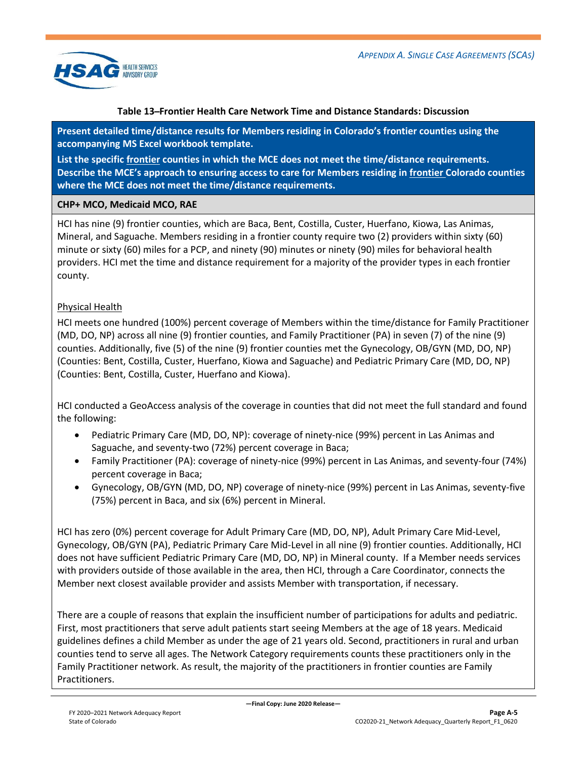

### **Table 13 ̶Frontier Health Care Network Time and Distance Standards: Discussion**

**Present detailed time/distance results for Members residing in Colorado's frontier counties using the accompanying MS Excel workbook template.**

**List the specific frontier counties in which the MCE does not meet the time/distance requirements. Describe the MCE's approach to ensuring access to care for Members residing in frontier Colorado counties where the MCE does not meet the time/distance requirements.**

### **CHP+ MCO, Medicaid MCO, RAE**

HCI has nine (9) frontier counties, which are Baca, Bent, Costilla, Custer, Huerfano, Kiowa, Las Animas, Mineral, and Saguache. Members residing in a frontier county require two (2) providers within sixty (60) minute or sixty (60) miles for a PCP, and ninety (90) minutes or ninety (90) miles for behavioral health providers. HCI met the time and distance requirement for a majority of the provider types in each frontier county.

### Physical Health

HCI meets one hundred (100%) percent coverage of Members within the time/distance for Family Practitioner (MD, DO, NP) across all nine (9) frontier counties, and Family Practitioner (PA) in seven (7) of the nine (9) counties. Additionally, five (5) of the nine (9) frontier counties met the Gynecology, OB/GYN (MD, DO, NP) (Counties: Bent, Costilla, Custer, Huerfano, Kiowa and Saguache) and Pediatric Primary Care (MD, DO, NP) (Counties: Bent, Costilla, Custer, Huerfano and Kiowa).

HCI conducted a GeoAccess analysis of the coverage in counties that did not meet the full standard and found the following:

- Pediatric Primary Care (MD, DO, NP): coverage of ninety-nice (99%) percent in Las Animas and Saguache, and seventy-two (72%) percent coverage in Baca;
- Family Practitioner (PA): coverage of ninety-nice (99%) percent in Las Animas, and seventy-four (74%) percent coverage in Baca;
- Gynecology, OB/GYN (MD, DO, NP) coverage of ninety-nice (99%) percent in Las Animas, seventy-five (75%) percent in Baca, and six (6%) percent in Mineral.

HCI has zero (0%) percent coverage for Adult Primary Care (MD, DO, NP), Adult Primary Care Mid-Level, Gynecology, OB/GYN (PA), Pediatric Primary Care Mid-Level in all nine (9) frontier counties. Additionally, HCI does not have sufficient Pediatric Primary Care (MD, DO, NP) in Mineral county. If a Member needs services with providers outside of those available in the area, then HCI, through a Care Coordinator, connects the Member next closest available provider and assists Member with transportation, if necessary.

There are a couple of reasons that explain the insufficient number of participations for adults and pediatric. First, most practitioners that serve adult patients start seeing Members at the age of 18 years. Medicaid guidelines defines a child Member as under the age of 21 years old. Second, practitioners in rural and urban counties tend to serve all ages. The Network Category requirements counts these practitioners only in the Family Practitioner network. As result, the majority of the practitioners in frontier counties are Family Practitioners.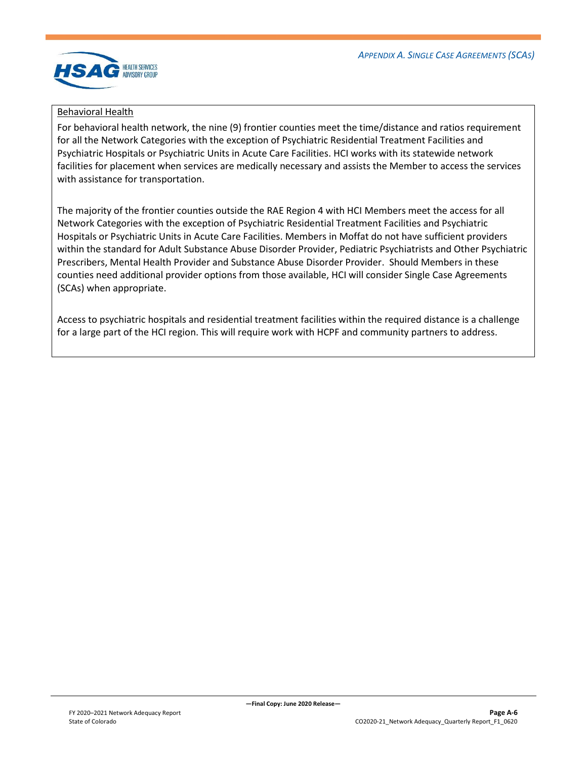

### Behavioral Health

For behavioral health network, the nine (9) frontier counties meet the time/distance and ratios requirement for all the Network Categories with the exception of Psychiatric Residential Treatment Facilities and Psychiatric Hospitals or Psychiatric Units in Acute Care Facilities. HCI works with its statewide network facilities for placement when services are medically necessary and assists the Member to access the services with assistance for transportation.

The majority of the frontier counties outside the RAE Region 4 with HCI Members meet the access for all Network Categories with the exception of Psychiatric Residential Treatment Facilities and Psychiatric Hospitals or Psychiatric Units in Acute Care Facilities. Members in Moffat do not have sufficient providers within the standard for Adult Substance Abuse Disorder Provider, Pediatric Psychiatrists and Other Psychiatric Prescribers, Mental Health Provider and Substance Abuse Disorder Provider. Should Members in these counties need additional provider options from those available, HCI will consider Single Case Agreements (SCAs) when appropriate.

<span id="page-22-0"></span>Access to psychiatric hospitals and residential treatment facilities within the required distance is a challenge for a large part of the HCI region. This will require work with HCPF and community partners to address.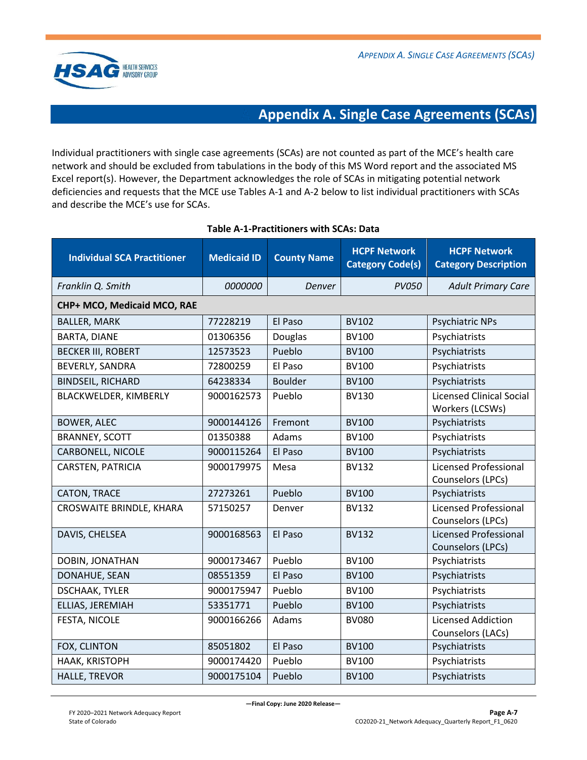

### **Appendix A. Single Case Agreements (SCAs)**

Individual practitioners with single case agreements (SCAs) are not counted as part of the MCE's health care network and should be excluded from tabulations in the body of this MS Word report and the associated MS Excel report(s). However, the Department acknowledges the role of SCAs in mitigating potential network deficiencies and requests that the MCE use Tables A-1 and A-2 below to list individual practitioners with SCAs and describe the MCE's use for SCAs.

| <b>Individual SCA Practitioner</b> | <b>Medicaid ID</b> | <b>County Name</b> | <b>HCPF Network</b><br><b>Category Code(s)</b> | <b>HCPF Network</b><br><b>Category Description</b> |
|------------------------------------|--------------------|--------------------|------------------------------------------------|----------------------------------------------------|
| Franklin Q. Smith                  | 0000000            | Denver             | <b>PV050</b>                                   | <b>Adult Primary Care</b>                          |
| CHP+ MCO, Medicaid MCO, RAE        |                    |                    |                                                |                                                    |
| <b>BALLER, MARK</b>                | 77228219           | El Paso            | <b>BV102</b>                                   | Psychiatric NPs                                    |
| <b>BARTA, DIANE</b>                | 01306356           | Douglas            | <b>BV100</b>                                   | Psychiatrists                                      |
| <b>BECKER III, ROBERT</b>          | 12573523           | Pueblo             | <b>BV100</b>                                   | Psychiatrists                                      |
| <b>BEVERLY, SANDRA</b>             | 72800259           | El Paso            | <b>BV100</b>                                   | Psychiatrists                                      |
| <b>BINDSEIL, RICHARD</b>           | 64238334           | <b>Boulder</b>     | <b>BV100</b>                                   | Psychiatrists                                      |
| BLACKWELDER, KIMBERLY              | 9000162573         | Pueblo             | <b>BV130</b>                                   | <b>Licensed Clinical Social</b><br>Workers (LCSWs) |
| <b>BOWER, ALEC</b>                 | 9000144126         | Fremont            | <b>BV100</b>                                   | Psychiatrists                                      |
| <b>BRANNEY, SCOTT</b>              | 01350388           | Adams              | <b>BV100</b>                                   | Psychiatrists                                      |
| CARBONELL, NICOLE                  | 9000115264         | El Paso            | <b>BV100</b>                                   | Psychiatrists                                      |
| <b>CARSTEN, PATRICIA</b>           | 9000179975         | Mesa               | <b>BV132</b>                                   | <b>Licensed Professional</b><br>Counselors (LPCs)  |
| CATON, TRACE                       | 27273261           | Pueblo             | <b>BV100</b>                                   | Psychiatrists                                      |
| CROSWAITE BRINDLE, KHARA           | 57150257           | Denver             | <b>BV132</b>                                   | <b>Licensed Professional</b><br>Counselors (LPCs)  |
| DAVIS, CHELSEA                     | 9000168563         | El Paso            | <b>BV132</b>                                   | <b>Licensed Professional</b><br>Counselors (LPCs)  |
| DOBIN, JONATHAN                    | 9000173467         | Pueblo             | <b>BV100</b>                                   | Psychiatrists                                      |
| DONAHUE, SEAN                      | 08551359           | El Paso            | <b>BV100</b>                                   | Psychiatrists                                      |
| <b>DSCHAAK, TYLER</b>              | 9000175947         | Pueblo             | <b>BV100</b>                                   | Psychiatrists                                      |
| ELLIAS, JEREMIAH                   | 53351771           | Pueblo             | <b>BV100</b>                                   | Psychiatrists                                      |
| FESTA, NICOLE                      | 9000166266         | Adams              | <b>BV080</b>                                   | <b>Licensed Addiction</b><br>Counselors (LACs)     |
| FOX, CLINTON                       | 85051802           | El Paso            | <b>BV100</b>                                   | Psychiatrists                                      |
| HAAK, KRISTOPH                     | 9000174420         | Pueblo             | <b>BV100</b>                                   | Psychiatrists                                      |
| <b>HALLE, TREVOR</b>               | 9000175104         | Pueblo             | <b>BV100</b>                                   | Psychiatrists                                      |

### **Table A-1-Practitioners with SCAs: Data**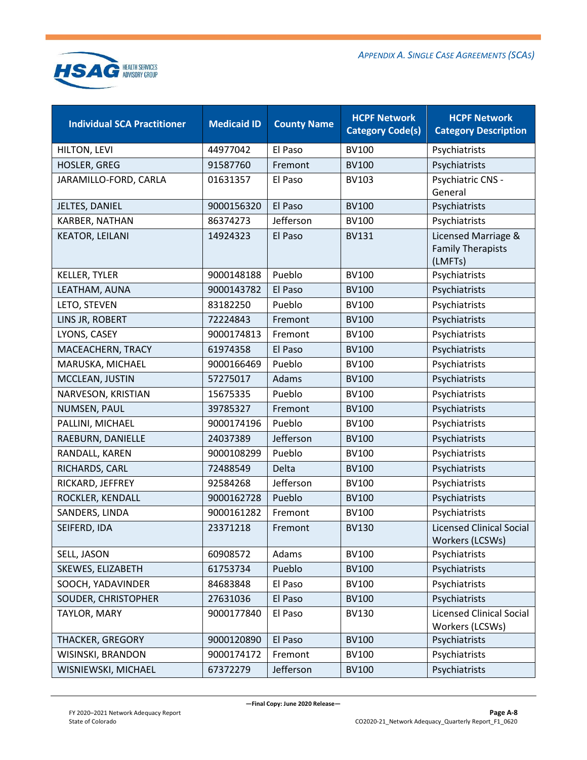

| <b>Individual SCA Practitioner</b> | <b>Medicaid ID</b> | <b>County Name</b> | <b>HCPF Network</b><br><b>Category Code(s)</b> | <b>HCPF Network</b><br><b>Category Description</b>         |
|------------------------------------|--------------------|--------------------|------------------------------------------------|------------------------------------------------------------|
| HILTON, LEVI                       | 44977042           | El Paso            | <b>BV100</b>                                   | Psychiatrists                                              |
| <b>HOSLER, GREG</b>                | 91587760           | Fremont            | <b>BV100</b>                                   | Psychiatrists                                              |
| JARAMILLO-FORD, CARLA              | 01631357           | El Paso            | <b>BV103</b>                                   | Psychiatric CNS -<br>General                               |
| JELTES, DANIEL                     | 9000156320         | El Paso            | <b>BV100</b>                                   | Psychiatrists                                              |
| KARBER, NATHAN                     | 86374273           | Jefferson          | <b>BV100</b>                                   | Psychiatrists                                              |
| <b>KEATOR, LEILANI</b>             | 14924323           | El Paso            | <b>BV131</b>                                   | Licensed Marriage &<br><b>Family Therapists</b><br>(LMFTs) |
| <b>KELLER, TYLER</b>               | 9000148188         | Pueblo             | <b>BV100</b>                                   | Psychiatrists                                              |
| LEATHAM, AUNA                      | 9000143782         | El Paso            | <b>BV100</b>                                   | Psychiatrists                                              |
| LETO, STEVEN                       | 83182250           | Pueblo             | <b>BV100</b>                                   | Psychiatrists                                              |
| LINS JR, ROBERT                    | 72224843           | Fremont            | <b>BV100</b>                                   | Psychiatrists                                              |
| LYONS, CASEY                       | 9000174813         | Fremont            | <b>BV100</b>                                   | Psychiatrists                                              |
| MACEACHERN, TRACY                  | 61974358           | El Paso            | <b>BV100</b>                                   | Psychiatrists                                              |
| MARUSKA, MICHAEL                   | 9000166469         | Pueblo             | <b>BV100</b>                                   | Psychiatrists                                              |
| MCCLEAN, JUSTIN                    | 57275017           | Adams              | <b>BV100</b>                                   | Psychiatrists                                              |
| NARVESON, KRISTIAN                 | 15675335           | Pueblo             | <b>BV100</b>                                   | Psychiatrists                                              |
| NUMSEN, PAUL                       | 39785327           | Fremont            | <b>BV100</b>                                   | Psychiatrists                                              |
| PALLINI, MICHAEL                   | 9000174196         | Pueblo             | <b>BV100</b>                                   | Psychiatrists                                              |
| RAEBURN, DANIELLE                  | 24037389           | Jefferson          | <b>BV100</b>                                   | Psychiatrists                                              |
| RANDALL, KAREN                     | 9000108299         | Pueblo             | <b>BV100</b>                                   | Psychiatrists                                              |
| RICHARDS, CARL                     | 72488549           | Delta              | <b>BV100</b>                                   | Psychiatrists                                              |
| RICKARD, JEFFREY                   | 92584268           | Jefferson          | <b>BV100</b>                                   | Psychiatrists                                              |
| ROCKLER, KENDALL                   | 9000162728         | Pueblo             | <b>BV100</b>                                   | Psychiatrists                                              |
| SANDERS, LINDA                     | 9000161282         | Fremont            | <b>BV100</b>                                   | Psychiatrists                                              |
| SEIFERD, IDA                       | 23371218           | Fremont            | <b>BV130</b>                                   | <b>Licensed Clinical Social</b><br>Workers (LCSWs)         |
| SELL, JASON                        | 60908572           | Adams              | <b>BV100</b>                                   | Psychiatrists                                              |
| SKEWES, ELIZABETH                  | 61753734           | Pueblo             | <b>BV100</b>                                   | Psychiatrists                                              |
| SOOCH, YADAVINDER                  | 84683848           | El Paso            | <b>BV100</b>                                   | Psychiatrists                                              |
| SOUDER, CHRISTOPHER                | 27631036           | El Paso            | <b>BV100</b>                                   | Psychiatrists                                              |
| TAYLOR, MARY                       | 9000177840         | El Paso            | <b>BV130</b>                                   | <b>Licensed Clinical Social</b><br>Workers (LCSWs)         |
| THACKER, GREGORY                   | 9000120890         | El Paso            | <b>BV100</b>                                   | Psychiatrists                                              |
| WISINSKI, BRANDON                  | 9000174172         | Fremont            | <b>BV100</b>                                   | Psychiatrists                                              |
| WISNIEWSKI, MICHAEL                | 67372279           | Jefferson          | <b>BV100</b>                                   | Psychiatrists                                              |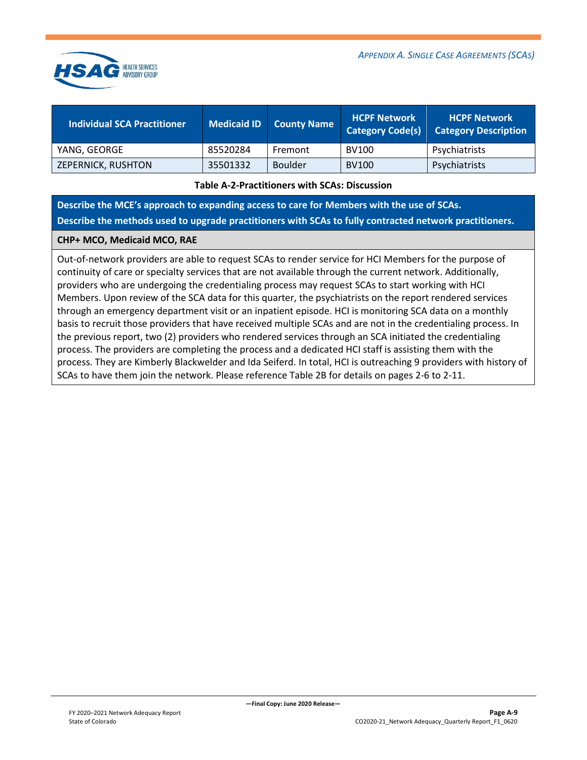



| <b>Individual SCA Practitioner</b> | Medicaid ID | County Name | <b>HCPF Network</b><br><b>Category Code(s)</b> | <b>HCPF Network</b><br><b>Category Description</b> |
|------------------------------------|-------------|-------------|------------------------------------------------|----------------------------------------------------|
| YANG, GEORGE                       | 85520284    | Fremont     | BV100                                          | Psychiatrists                                      |
| ZEPERNICK, RUSHTON                 | 35501332    | Boulder     | <b>BV100</b>                                   | Psychiatrists                                      |

#### **Table A-2-Practitioners with SCAs: Discussion**

**Describe the MCE's approach to expanding access to care for Members with the use of SCAs. Describe the methods used to upgrade practitioners with SCAs to fully contracted network practitioners.** 

#### **CHP+ MCO, Medicaid MCO, RAE**

Out-of-network providers are able to request SCAs to render service for HCI Members for the purpose of continuity of care or specialty services that are not available through the current network. Additionally, providers who are undergoing the credentialing process may request SCAs to start working with HCI Members. Upon review of the SCA data for this quarter, the psychiatrists on the report rendered services through an emergency department visit or an inpatient episode. HCI is monitoring SCA data on a monthly basis to recruit those providers that have received multiple SCAs and are not in the credentialing process. In the previous report, two (2) providers who rendered services through an SCA initiated the credentialing process. The providers are completing the process and a dedicated HCI staff is assisting them with the process. They are Kimberly Blackwelder and Ida Seiferd. In total, HCI is outreaching 9 providers with history of SCAs to have them join the network. Please reference Table 2B for details on pages 2-6 to 2-11.